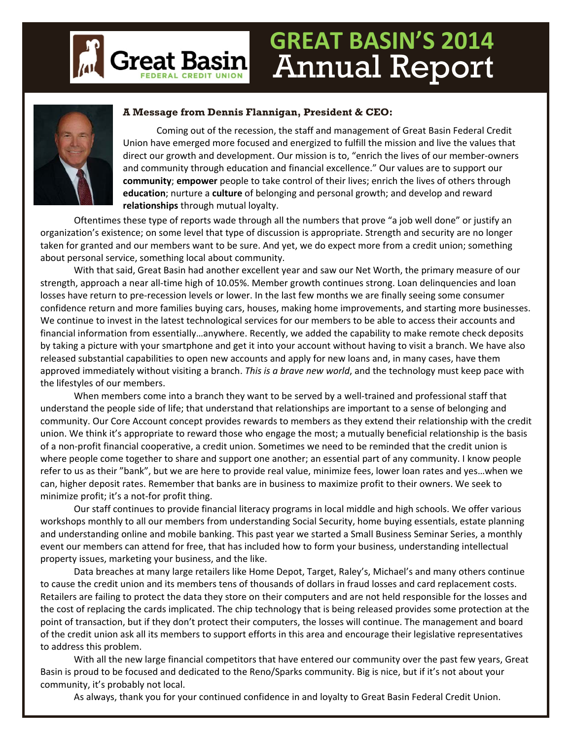

### **GREAT BASIN'S 2014** Annual Report



#### **A Message from Dennis Flannigan, President & CEO:**

Coming out of the recession, the staff and management of Great Basin Federal Credit Union have emerged more focused and energized to fulfill the mission and live the values that direct our growth and development. Our mission is to, "enrich the lives of our member‐owners and community through education and financial excellence." Our values are to support our **community**; **empower** people to take control of their lives; enrich the lives of others through **education**; nurture a **culture** of belonging and personal growth; and develop and reward **relationships** through mutual loyalty.

Oftentimes these type of reports wade through all the numbers that prove "a job well done" or justify an organization's existence; on some level that type of discussion is appropriate. Strength and security are no longer taken for granted and our members want to be sure. And yet, we do expect more from a credit union; something about personal service, something local about community.

With that said, Great Basin had another excellent year and saw our Net Worth, the primary measure of our strength, approach a near all‐time high of 10.05%. Member growth continues strong. Loan delinquencies and loan losses have return to pre‐recession levels or lower. In the last few months we are finally seeing some consumer confidence return and more families buying cars, houses, making home improvements, and starting more businesses. We continue to invest in the latest technological services for our members to be able to access their accounts and financial information from essentially…anywhere. Recently, we added the capability to make remote check deposits by taking a picture with your smartphone and get it into your account without having to visit a branch. We have also released substantial capabilities to open new accounts and apply for new loans and, in many cases, have them approved immediately without visiting a branch. *This is a brave new world*, and the technology must keep pace with the lifestyles of our members.

When members come into a branch they want to be served by a well-trained and professional staff that understand the people side of life; that understand that relationships are important to a sense of belonging and community. Our Core Account concept provides rewards to members as they extend their relationship with the credit union. We think it's appropriate to reward those who engage the most; a mutually beneficial relationship is the basis of a non‐profit financial cooperative, a credit union. Sometimes we need to be reminded that the credit union is where people come together to share and support one another; an essential part of any community. I know people refer to us as their "bank", but we are here to provide real value, minimize fees, lower loan rates and yes…when we can, higher deposit rates. Remember that banks are in business to maximize profit to their owners. We seek to minimize profit; it's a not‐for profit thing.

Our staff continues to provide financial literacy programs in local middle and high schools. We offer various workshops monthly to all our members from understanding Social Security, home buying essentials, estate planning and understanding online and mobile banking. This past year we started a Small Business Seminar Series, a monthly event our members can attend for free, that has included how to form your business, understanding intellectual property issues, marketing your business, and the like.

Data breaches at many large retailers like Home Depot, Target, Raley's, Michael's and many others continue to cause the credit union and its members tens of thousands of dollars in fraud losses and card replacement costs. Retailers are failing to protect the data they store on their computers and are not held responsible for the losses and the cost of replacing the cards implicated. The chip technology that is being released provides some protection at the point of transaction, but if they don't protect their computers, the losses will continue. The management and board of the credit union ask all its members to support efforts in this area and encourage their legislative representatives to address this problem.

With all the new large financial competitors that have entered our community over the past few years, Great Basin is proud to be focused and dedicated to the Reno/Sparks community. Big is nice, but if it's not about your community, it's probably not local.

As always, thank you for your continued confidence in and loyalty to Great Basin Federal Credit Union.